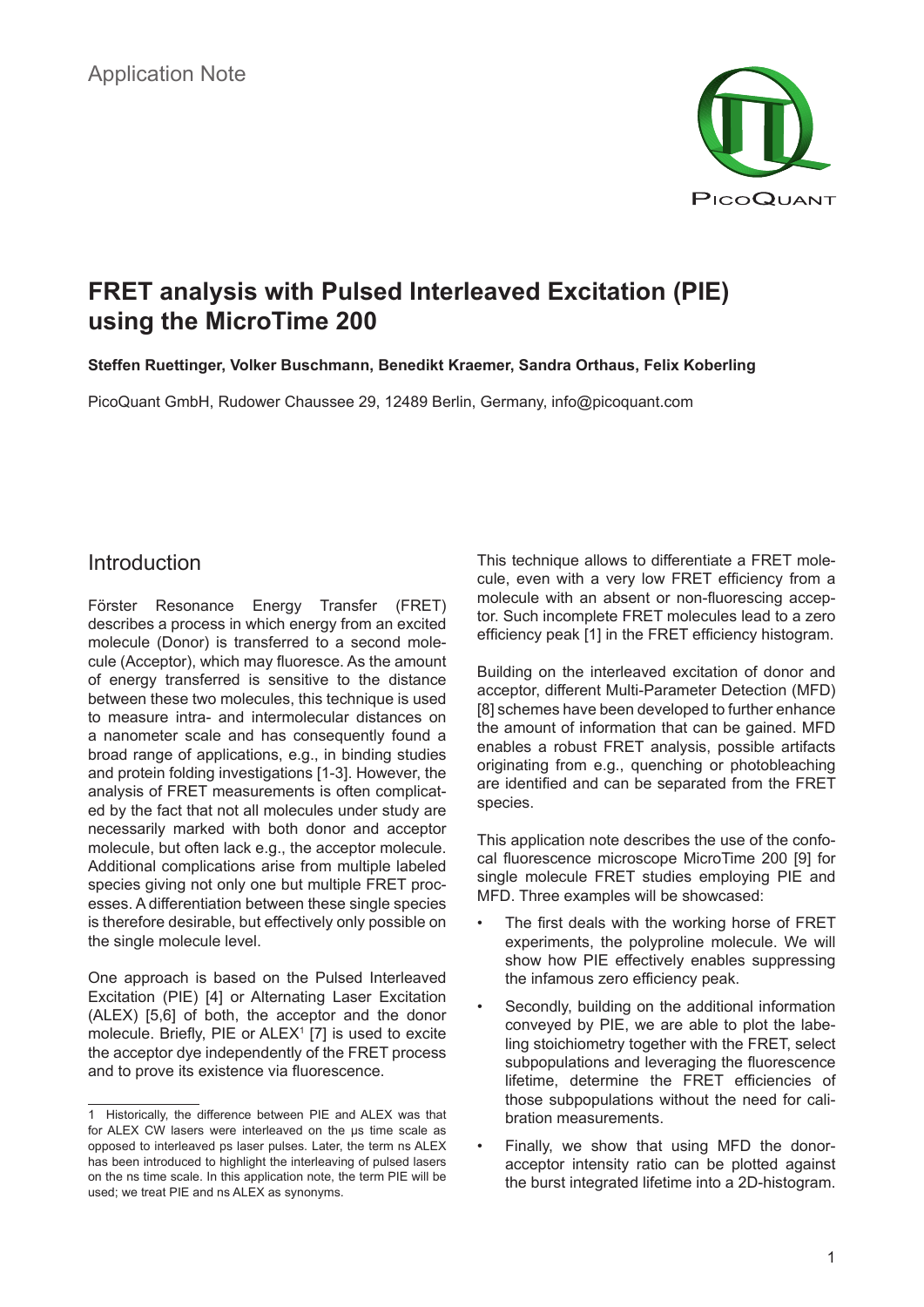

# **FRET analysis with Pulsed Interleaved Excitation (PIE) using the MicroTime 200**

#### **Steffen Ruettinger, Volker Buschmann, Benedikt Kraemer, Sandra Orthaus, Felix Koberling**

PicoQuant GmbH, Rudower Chaussee 29, 12489 Berlin, Germany, info@picoquant.com

### Introduction

Förster Resonance Energy Transfer (FRET) describes a process in which energy from an excited molecule (Donor) is transferred to a second molecule (Acceptor), which may fluoresce. As the amount of energy transferred is sensitive to the distance between these two molecules, this technique is used to measure intra- and intermolecular distances on a nanometer scale and has consequently found a broad range of applications, e.g., in binding studies and protein folding investigations [1-3]. However, the analysis of FRET measurements is often complicated by the fact that not all molecules under study are necessarily marked with both donor and acceptor molecule, but often lack e.g., the acceptor molecule. Additional complications arise from multiple labeled species giving not only one but multiple FRET processes. A differentiation between these single species is therefore desirable, but effectively only possible on the single molecule level.

One approach is based on the Pulsed Interleaved Excitation (PIE) [4] or Alternating Laser Excitation (ALEX) [5,6] of both, the acceptor and the donor molecule. Briefly, PIE or  $ALEX<sup>1</sup>$  [7] is used to excite the acceptor dye independently of the FRET process and to prove its existence via fluorescence.

This technique allows to differentiate a FRET molecule, even with a very low FRET efficiency from a molecule with an absent or non-fluorescing acceptor. Such incomplete FRET molecules lead to a zero efficiency peak [1] in the FRET efficiency histogram.

Building on the interleaved excitation of donor and acceptor, different Multi-Parameter Detection (MFD) [8] schemes have been developed to further enhance the amount of information that can be gained. MFD enables a robust FRET analysis, possible artifacts originating from e.g., quenching or photobleaching are identified and can be separated from the FRET species.

This application note describes the use of the confocal fluorescence microscope MicroTime 200 [9] for single molecule FRET studies employing PIE and MFD. Three examples will be showcased:

- The first deals with the working horse of FRET experiments, the polyproline molecule. We will show how PIE effectively enables suppressing the infamous zero efficiency peak.
- Secondly, building on the additional information conveyed by PIE, we are able to plot the labeling stoichiometry together with the FRET, select subpopulations and leveraging the fluorescence lifetime, determine the FRET efficiencies of those subpopulations without the need for calibration measurements.
- Finally, we show that using MFD the donoracceptor intensity ratio can be plotted against the burst integrated lifetime into a 2D-histogram.

<sup>1</sup> Historically, the difference between PIE and ALEX was that for ALEX CW lasers were interleaved on the µs time scale as opposed to interleaved ps laser pulses. Later, the term ns ALEX has been introduced to highlight the interleaving of pulsed lasers on the ns time scale. In this application note, the term PIE will be used; we treat PIE and ns ALEX as synonyms.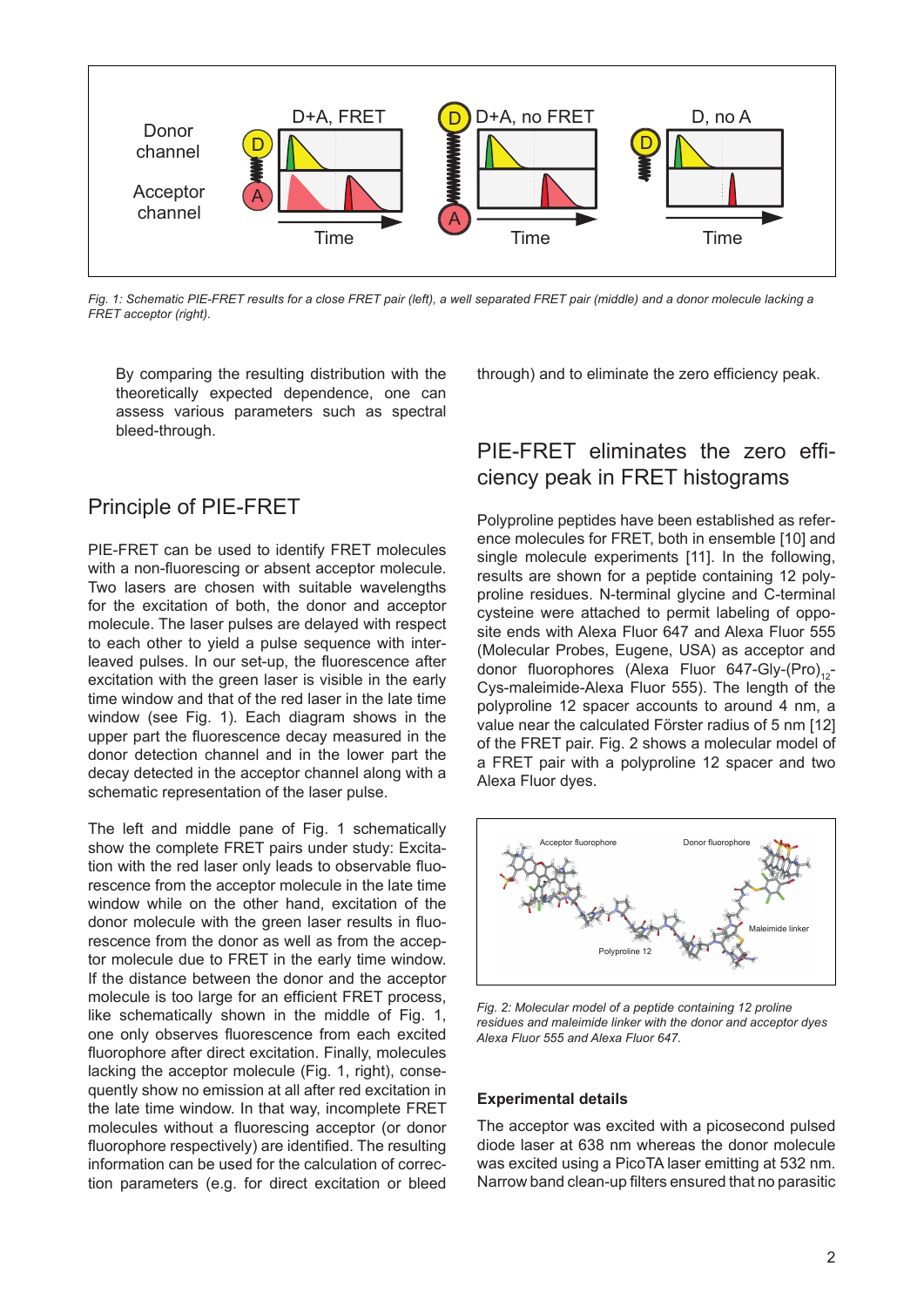

*Fig. 1: Schematic PIE-FRET results for a close FRET pair (left), a well separated FRET pair (middle) and a donor molecule lacking a FRET acceptor (right).*

By comparing the resulting distribution with the theoretically expected dependence, one can assess various parameters such as spectral bleed-through.

through) and to eliminate the zero efficiency peak.

### Principle of PIE-FRET

PIE-FRET can be used to identify FRET molecules with a non-fluorescing or absent acceptor molecule. Two lasers are chosen with suitable wavelengths for the excitation of both, the donor and acceptor molecule. The laser pulses are delayed with respect to each other to yield a pulse sequence with interleaved pulses. In our set-up, the fluorescence after excitation with the green laser is visible in the early time window and that of the red laser in the late time window (see Fig. 1). Each diagram shows in the upper part the fluorescence decay measured in the donor detection channel and in the lower part the decay detected in the acceptor channel along with a schematic representation of the laser pulse.

The left and middle pane of Fig. 1 schematically show the complete FRET pairs under study: Excitation with the red laser only leads to observable fluorescence from the acceptor molecule in the late time window while on the other hand, excitation of the donor molecule with the green laser results in fluorescence from the donor as well as from the acceptor molecule due to FRET in the early time window. If the distance between the donor and the acceptor molecule is too large for an efficient FRET process, like schematically shown in the middle of Fig. 1. one only observes fluorescence from each excited fluorophore after direct excitation. Finally, molecules lacking the acceptor molecule (Fig. 1, right), consequently show no emission at all after red excitation in the late time window. In that way, incomplete FRET molecules without a fluorescing acceptor (or donor fluorophore respectively) are identified. The resulting information can be used for the calculation of correction parameters (e.g. for direct excitation or bleed

## PIE-FRET eliminates the zero efficiency peak in FRET histograms

Polyproline peptides have been established as reference molecules for FRET, both in ensemble [10] and single molecule experiments [11]. In the following, results are shown for a peptide containing 12 polyproline residues. N-terminal glycine and C-terminal cysteine were attached to permit labeling of opposite ends with Alexa Fluor 647 and Alexa Fluor 555 (Molecular Probes, Eugene, USA) as acceptor and donor fluorophores (Alexa Fluor 647-Gly-(Pro)<sub>12</sub>-Cys-maleimide-Alexa Fluor 555). The length of the polyproline 12 spacer accounts to around 4 nm, a value near the calculated Förster radius of 5 nm [12] of the FRET pair. Fig. 2 shows a molecular model of a FRET pair with a polyproline 12 spacer and two Alexa Fluor dyes.



*Fig. 2: Molecular model of a peptide containing 12 proline residues and maleimide linker with the donor and acceptor dyes Alexa Fluor 555 and Alexa Fluor 647.*

#### **Experimental details**

The acceptor was excited with a picosecond pulsed diode laser at 638 nm whereas the donor molecule was excited using a PicoTA laser emitting at 532 nm. Narrow band clean-up filters ensured that no parasitic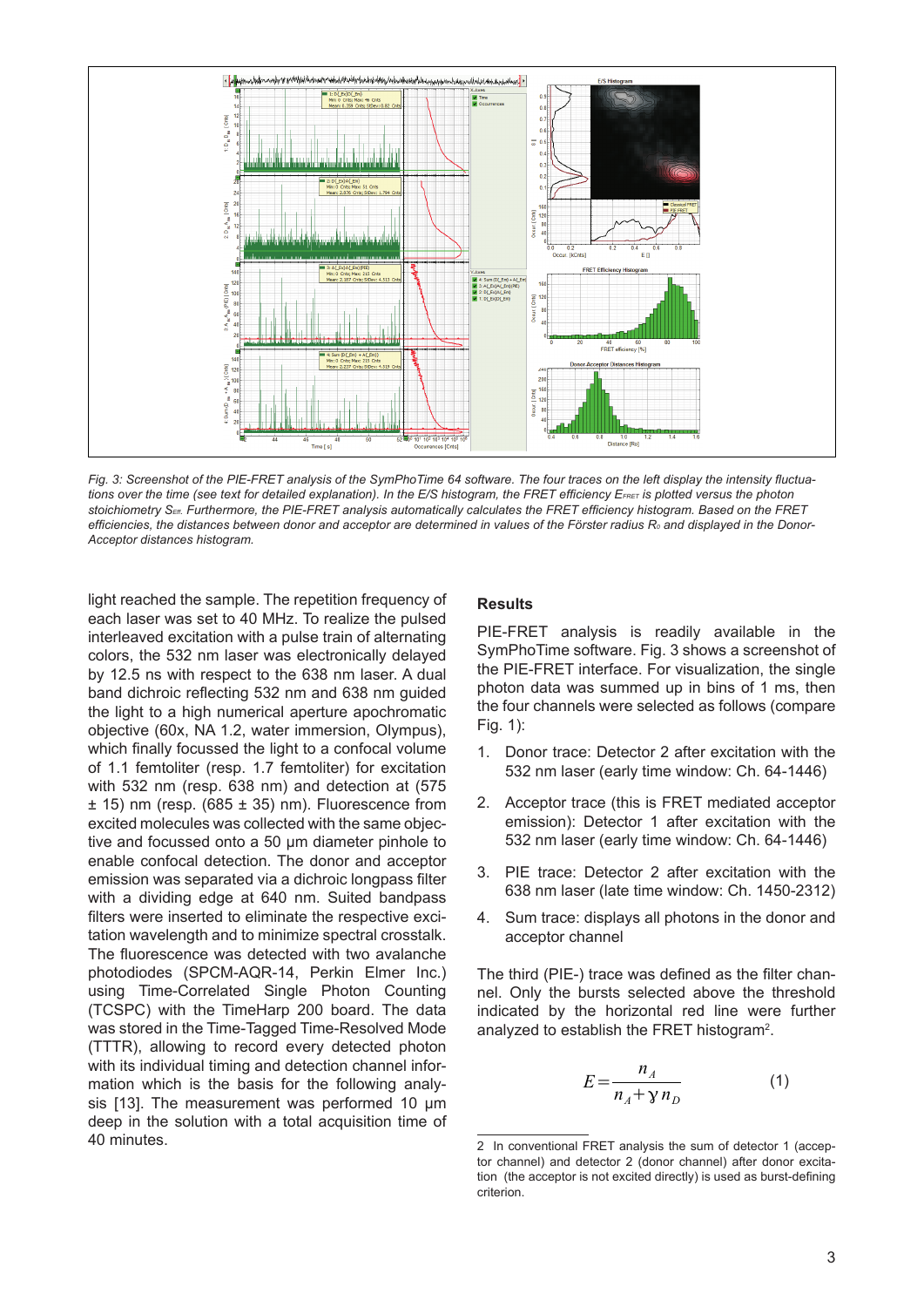

*Fig. 3: Screenshot of the PIE-FRET analysis of the SymPhoTime 64 software. The four traces on the left display the intensity fluctuations over the time (see text for detailed explanation). In the E/S histogram, the FRET efficiency EFRET is plotted versus the photon stoichiometry SEff. Furthermore, the PIE-FRET analysis automatically calculates the FRET efficiency histogram. Based on the FRET*  efficiencies, the distances between donor and acceptor are determined in values of the Förster radius R<sub>0</sub> and displayed in the Donor-*Acceptor distances histogram.*

light reached the sample. The repetition frequency of each laser was set to 40 MHz. To realize the pulsed interleaved excitation with a pulse train of alternating colors, the 532 nm laser was electronically delayed by 12.5 ns with respect to the 638 nm laser. A dual band dichroic reflecting 532 nm and 638 nm guided the light to a high numerical aperture apochromatic objective (60x, NA 1.2, water immersion, Olympus), which finally focussed the light to a confocal volume of 1.1 femtoliter (resp. 1.7 femtoliter) for excitation with 532 nm (resp. 638 nm) and detection at (575  $± 15$ ) nm (resp. (685  $± 35$ ) nm). Fluorescence from excited molecules was collected with the same objective and focussed onto a 50 µm diameter pinhole to enable confocal detection. The donor and acceptor emission was separated via a dichroic longpass filter with a dividing edge at 640 nm. Suited bandpass filters were inserted to eliminate the respective excitation wavelength and to minimize spectral crosstalk. The fluorescence was detected with two avalanche photodiodes (SPCM-AQR-14, Perkin Elmer Inc.) using Time-Correlated Single Photon Counting (TCSPC) with the TimeHarp 200 board. The data was stored in the Time-Tagged Time-Resolved Mode (TTTR), allowing to record every detected photon with its individual timing and detection channel information which is the basis for the following analysis [13]. The measurement was performed 10 um deep in the solution with a total acquisition time of 40 minutes.

#### **Results**

PIE-FRET analysis is readily available in the SymPhoTime software. Fig. 3 shows a screenshot of the PIE-FRET interface. For visualization, the single photon data was summed up in bins of 1 ms, then the four channels were selected as follows (compare Fig. 1):

- 1. Donor trace: Detector 2 after excitation with the 532 nm laser (early time window: Ch. 64-1446)
- 2. Acceptor trace (this is FRET mediated acceptor emission): Detector 1 after excitation with the 532 nm laser (early time window: Ch. 64-1446)
- 3. PIE trace: Detector 2 after excitation with the 638 nm laser (late time window: Ch. 1450-2312)
- 4. Sum trace: displays all photons in the donor and acceptor channel

The third (PIE-) trace was defined as the filter channel. Only the bursts selected above the threshold indicated by the horizontal red line were further analyzed to establish the FRET histogram<sup>2</sup>.

$$
E = \frac{n_A}{n_A + \gamma n_D} \tag{1}
$$

<sup>2</sup> In conventional FRET analysis the sum of detector 1 (acceptor channel) and detector 2 (donor channel) after donor excitation (the acceptor is not excited directly) is used as burst-defining criterion.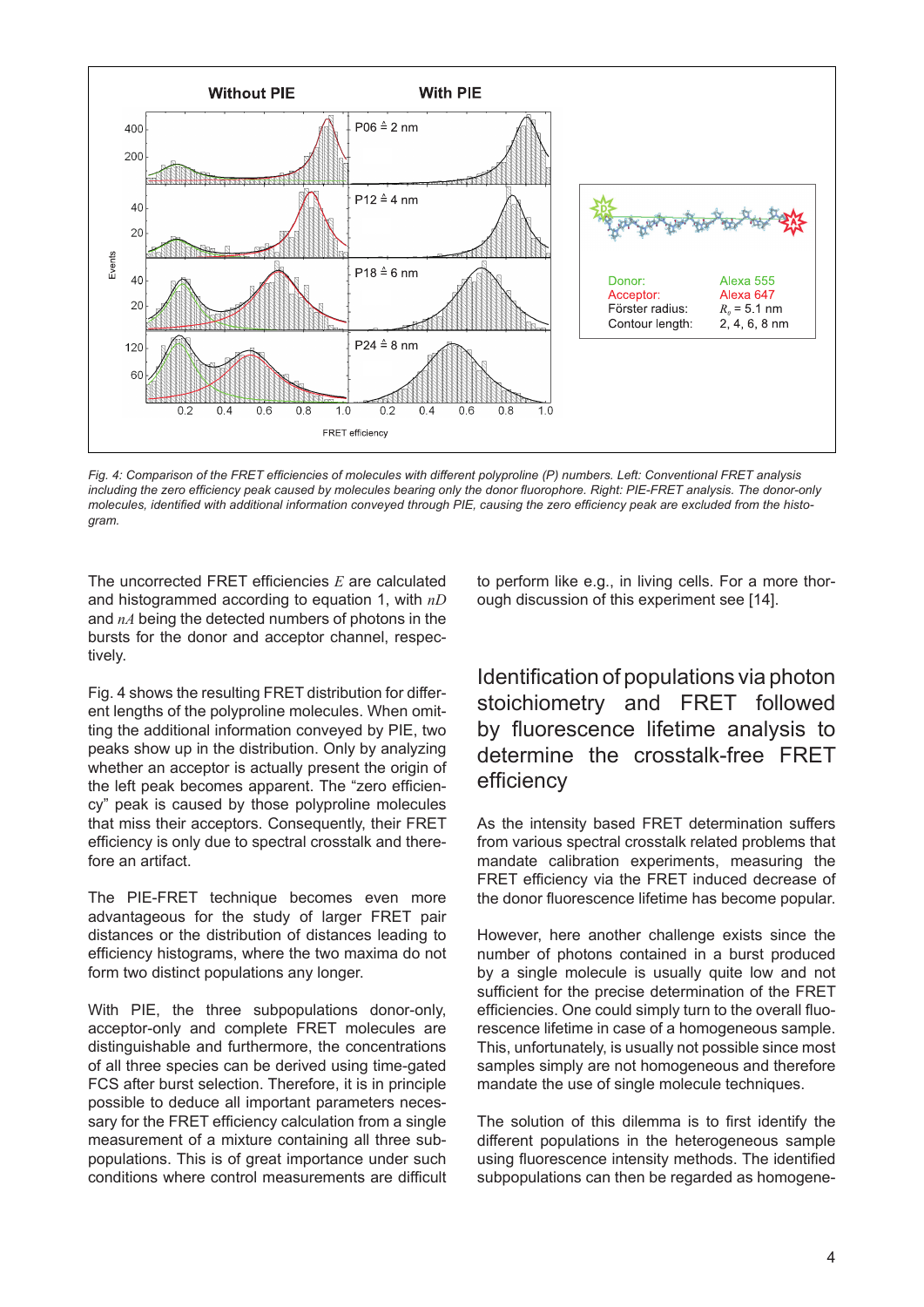

*Fig. 4: Comparison of the FRET efficiencies of molecules with different polyproline (P) numbers. Left: Conventional FRET analysis including the zero efficiency peak caused by molecules bearing only the donor fluorophore. Right: PIE-FRET analysis. The donor-only molecules, identified with additional information conveyed through PIE, causing the zero efficiency peak are excluded from the histogram.*

The uncorrected FRET efficiencies *E* are calculated and histogrammed according to equation 1, with *nD*  and *nA* being the detected numbers of photons in the bursts for the donor and acceptor channel, respectively.

Fig. 4 shows the resulting FRET distribution for different lengths of the polyproline molecules. When omitting the additional information conveyed by PIE, two peaks show up in the distribution. Only by analyzing whether an acceptor is actually present the origin of the left peak becomes apparent. The "zero efficiency" peak is caused by those polyproline molecules that miss their acceptors. Consequently, their FRET efficiency is only due to spectral crosstalk and therefore an artifact.

The PIE-FRET technique becomes even more advantageous for the study of larger FRET pair distances or the distribution of distances leading to efficiency histograms, where the two maxima do not form two distinct populations any longer.

With PIE, the three subpopulations donor-only, acceptor-only and complete FRET molecules are distinguishable and furthermore, the concentrations of all three species can be derived using time-gated FCS after burst selection. Therefore, it is in principle possible to deduce all important parameters necessary for the FRET efficiency calculation from a single measurement of a mixture containing all three subpopulations. This is of great importance under such conditions where control measurements are difficult

to perform like e.g., in living cells. For a more thorough discussion of this experiment see [14].

Identification of populations via photon stoichiometry and FRET followed by fluorescence lifetime analysis to determine the crosstalk-free FRET efficiency

As the intensity based FRET determination suffers from various spectral crosstalk related problems that mandate calibration experiments, measuring the FRET efficiency via the FRET induced decrease of the donor fluorescence lifetime has become popular.

However, here another challenge exists since the number of photons contained in a burst produced by a single molecule is usually quite low and not sufficient for the precise determination of the FRET efficiencies. One could simply turn to the overall fluorescence lifetime in case of a homogeneous sample. This, unfortunately, is usually not possible since most samples simply are not homogeneous and therefore mandate the use of single molecule techniques.

The solution of this dilemma is to first identify the different populations in the heterogeneous sample using fluorescence intensity methods. The identified subpopulations can then be regarded as homogene-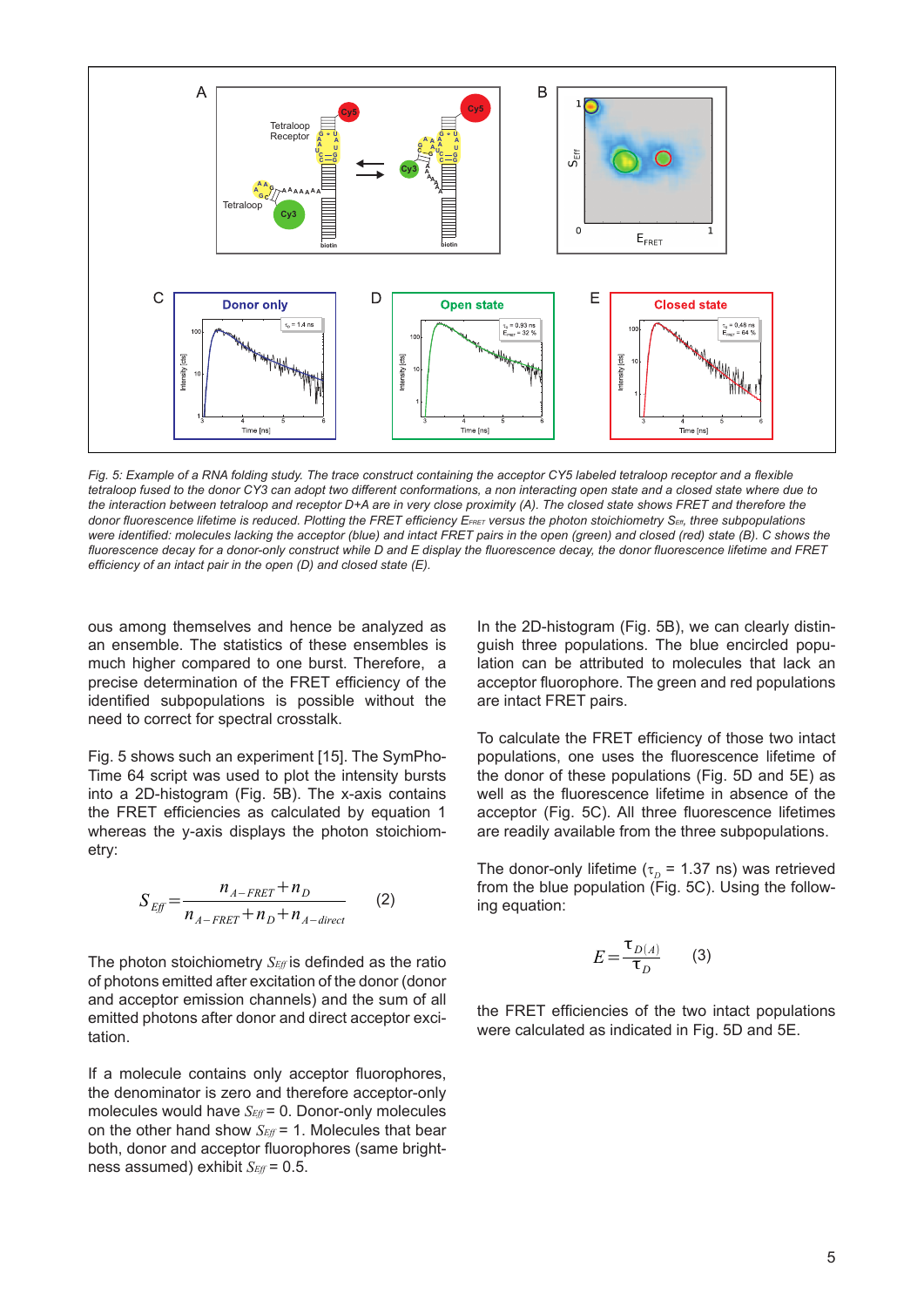

*tetraloop fused to the donor CY3 can adopt two different conformations, a non interacting open state and a closed state where due to the interaction between tetraloop and receptor D+A are in very close proximity (A). The closed state shows FRET and therefore the donor fluorescence lifetime is reduced. Plotting the FRET efficiency EFRET versus the photon stoichiometry SEff, three subpopulations were identified: molecules lacking the acceptor (blue) and intact FRET pairs in the open (green) and closed (red) state (B). C shows the fluorescence decay for a donor-only construct while D and E display the fluorescence decay, the donor fluorescence lifetime and FRET efficiency of an intact pair in the open (D) and closed state (E).*

ous among themselves and hence be analyzed as an ensemble. The statistics of these ensembles is much higher compared to one burst. Therefore, a precise determination of the FRET efficiency of the identified subpopulations is possible without the need to correct for spectral crosstalk.

Fig. 5 shows such an experiment [15]. The SymPho-Time 64 script was used to plot the intensity bursts into a 2D-histogram (Fig. 5B). The x-axis contains the FRET efficiencies as calculated by equation 1 whereas the y-axis displays the photon stoichiometry:

$$
S_{Ef} = \frac{n_{A-FRET} + n_D}{n_{A-FRET} + n_D + n_{A-divect}}
$$
 (2)

The photon stoichiometry *S<sub>Eff</sub>* is definded as the ratio of photons emitted after excitation of the donor (donor and acceptor emission channels) and the sum of all emitted photons after donor and direct acceptor excitation.

If a molecule contains only acceptor fluorophores, the denominator is zero and therefore acceptor-only molecules would have  $S_{Eff}$  = 0. Donor-only molecules on the other hand show  $S_{\text{Eff}} = 1$ . Molecules that bear both, donor and acceptor fluorophores (same brightness assumed) exhibit *SEff* = 0.5.

In the 2D-histogram (Fig. 5B), we can clearly distinguish three populations. The blue encircled population can be attributed to molecules that lack an acceptor fluorophore. The green and red populations are intact FRET pairs.

To calculate the FRET efficiency of those two intact populations, one uses the fluorescence lifetime of the donor of these populations (Fig. 5D and 5E) as well as the fluorescence lifetime in absence of the acceptor (Fig. 5C). All three fluorescence lifetimes are readily available from the three subpopulations.

The donor-only lifetime  $(\tau_p = 1.37 \text{ ns})$  was retrieved from the blue population (Fig. 5C). Using the following equation:

$$
E = \frac{\tau_{D(A)}}{\tau_D} \qquad (3)
$$

the FRET efficiencies of the two intact populations were calculated as indicated in Fig. 5D and 5E.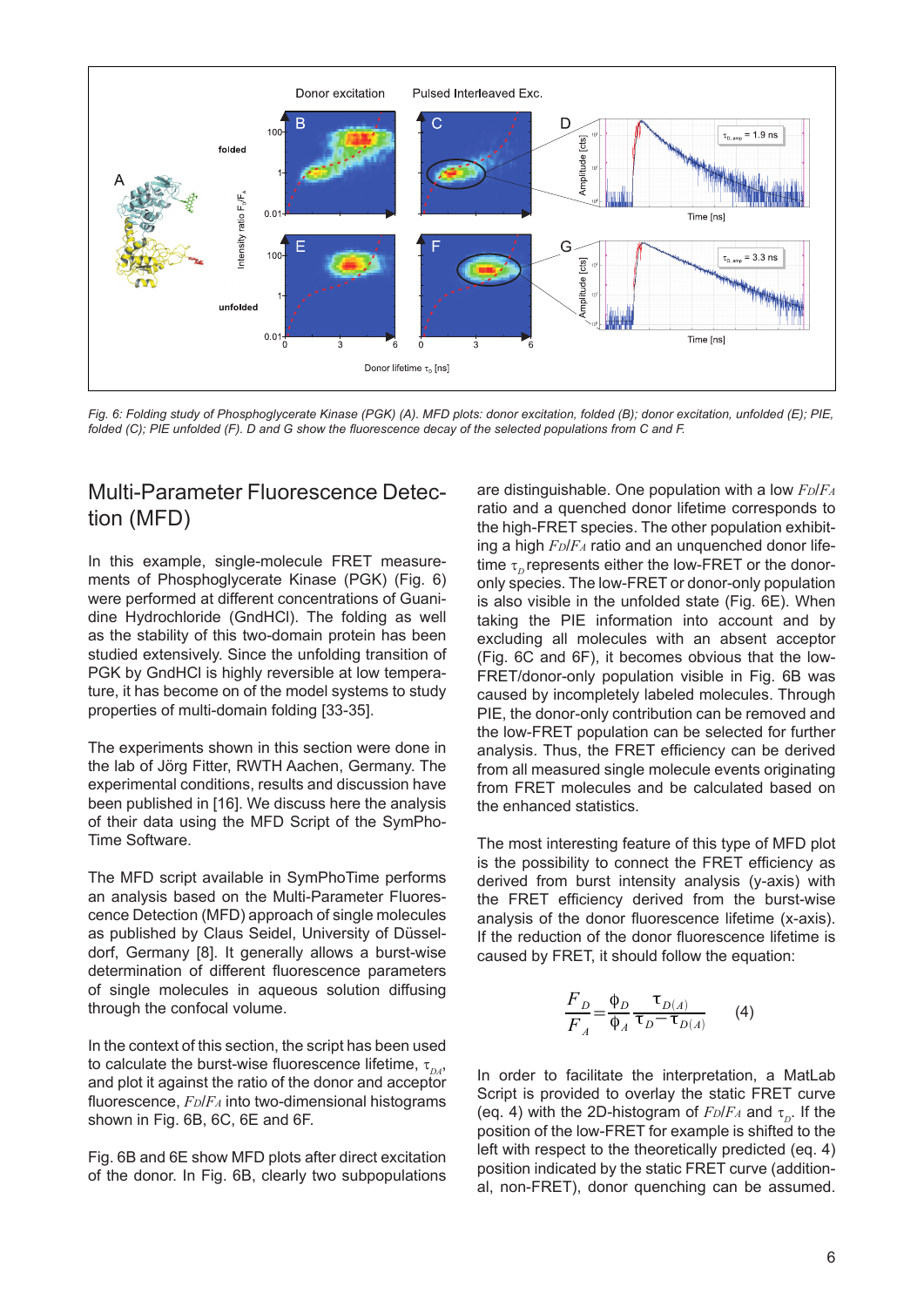

*Fig. 6: Folding study of Phosphoglycerate Kinase (PGK) (A). MFD plots: donor excitation, folded (B); donor excitation, unfolded (E); PIE, folded (C); PIE unfolded (F). D and G show the fluorescence decay of the selected populations from C and F.*

### Multi-Parameter Fluorescence Detection (MFD)

In this example, single-molecule FRET measurements of Phosphoglycerate Kinase (PGK) (Fig. 6) were performed at different concentrations of Guanidine Hydrochloride (GndHCl). The folding as well as the stability of this two-domain protein has been studied extensively. Since the unfolding transition of PGK by GndHCl is highly reversible at low temperature, it has become on of the model systems to study properties of multi-domain folding [33-35].

The experiments shown in this section were done in the lab of Jörg Fitter, RWTH Aachen, Germany. The experimental conditions, results and discussion have been published in [16]. We discuss here the analysis of their data using the MFD Script of the SymPho-Time Software.

The MFD script available in SymPhoTime performs an analysis based on the Multi-Parameter Fluorescence Detection (MFD) approach of single molecules as published by Claus Seidel, University of Düsseldorf, Germany [8]. It generally allows a burst-wise determination of different fluorescence parameters of single molecules in aqueous solution diffusing through the confocal volume.

In the context of this section, the script has been used to calculate the burst-wise fluorescence lifetime,  $\tau_{DA}$ , and plot it against the ratio of the donor and acceptor fluorescence, *F<sub>D</sub>*/*F<sub>A</sub>* into two-dimensional histograms shown in Fig. 6B, 6C, 6E and 6F.

Fig. 6B and 6E show MFD plots after direct excitation of the donor. In Fig. 6B, clearly two subpopulations are distinguishable. One population with a low  $F_D/F_A$ ratio and a quenched donor lifetime corresponds to the high-FRET species. The other population exhibiting a high *F<sub>D</sub>*/*F<sub>A</sub>* ratio and an unquenched donor lifetime  $\tau_D$  represents either the low-FRET or the donoronly species. The low-FRET or donor-only population is also visible in the unfolded state (Fig. 6E). When taking the PIE information into account and by excluding all molecules with an absent acceptor (Fig. 6C and 6F), it becomes obvious that the low-FRET/donor-only population visible in Fig. 6B was caused by incompletely labeled molecules. Through PIE, the donor-only contribution can be removed and the low-FRET population can be selected for further analysis. Thus, the FRET efficiency can be derived from all measured single molecule events originating from FRET molecules and be calculated based on the enhanced statistics.

The most interesting feature of this type of MFD plot is the possibility to connect the FRET efficiency as derived from burst intensity analysis (y-axis) with the FRET efficiency derived from the burst-wise analysis of the donor fluorescence lifetime (x-axis). If the reduction of the donor fluorescence lifetime is caused by FRET, it should follow the equation:

$$
\frac{F_D}{F_A} = \frac{\Phi_D}{\Phi_A} \frac{\tau_{D(A)}}{\tau_D - \tau_{D(A)}} \tag{4}
$$

In order to facilitate the interpretation, a MatLab Script is provided to overlay the static FRET curve (eq. 4) with the 2D-histogram of  $F_D/F_A$  and  $\tau_D$ . If the position of the low-FRET for example is shifted to the left with respect to the theoretically predicted (eq. 4) position indicated by the static FRET curve (additional, non-FRET), donor quenching can be assumed.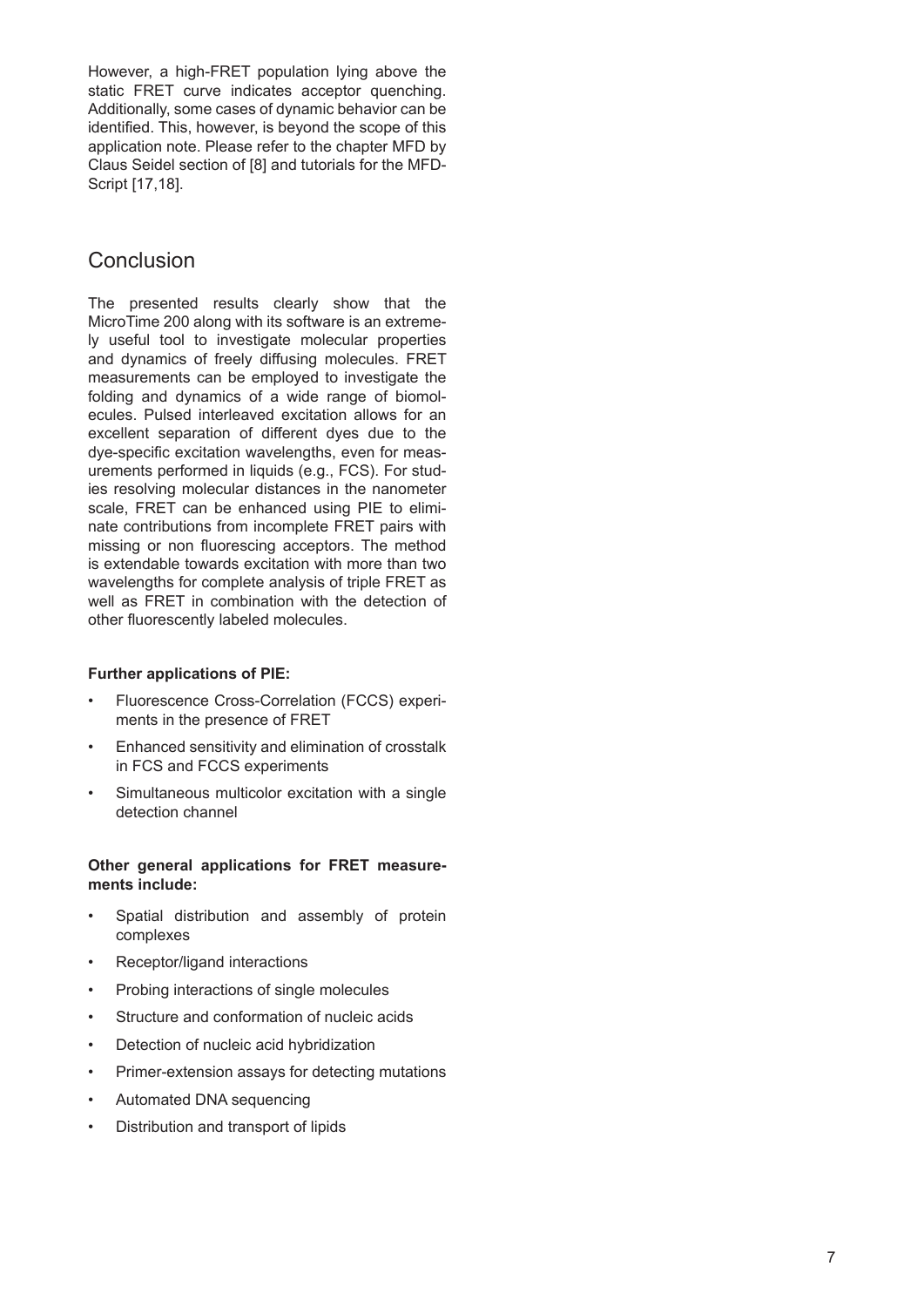However, a high-FRET population lying above the static FRET curve indicates acceptor quenching. Additionally, some cases of dynamic behavior can be identified. This, however, is beyond the scope of this application note. Please refer to the chapter MFD by Claus Seidel section of [8] and tutorials for the MFD-Script [17,18].

# **Conclusion**

The presented results clearly show that the MicroTime 200 along with its software is an extreme ly useful tool to investigate molecular properties and dynamics of freely diffusing molecules. FRET measurements can be employed to investigate the folding and dynamics of a wide range of biomol ecules. Pulsed interleaved excitation allows for an excellent separation of different dyes due to the dye-specific excitation wavelengths, even for meas urements performed in liquids (e.g., FCS). For stud ies resolving molecular distances in the nanometer scale, FRET can be enhanced using PIE to elimi nate contributions from incomplete FRET pairs with missing or non fluorescing acceptors. The method is extendable towards excitation with more than two wavelengths for complete analysis of triple FRET as well as FRET in combination with the detection of other fluorescently labeled molecules.

#### **Further applications of PIE:**

- Fluorescence Cross-Correlation (FCCS) experi ments in the presence of FRET
- Enhanced sensitivity and elimination of crosstalk in FCS and FCCS experiments
- Simultaneous multicolor excitation with a single detection channel

#### **Other general applications for FRET measure ments include:**

- Spatial distribution and assembly of protein complexes
- Receptor/ligand interactions
- Probing interactions of single molecules
- Structure and conformation of nucleic acids
- Detection of nucleic acid hybridization
- Primer-extension assays for detecting mutations
- Automated DNA sequencing
- Distribution and transport of lipids